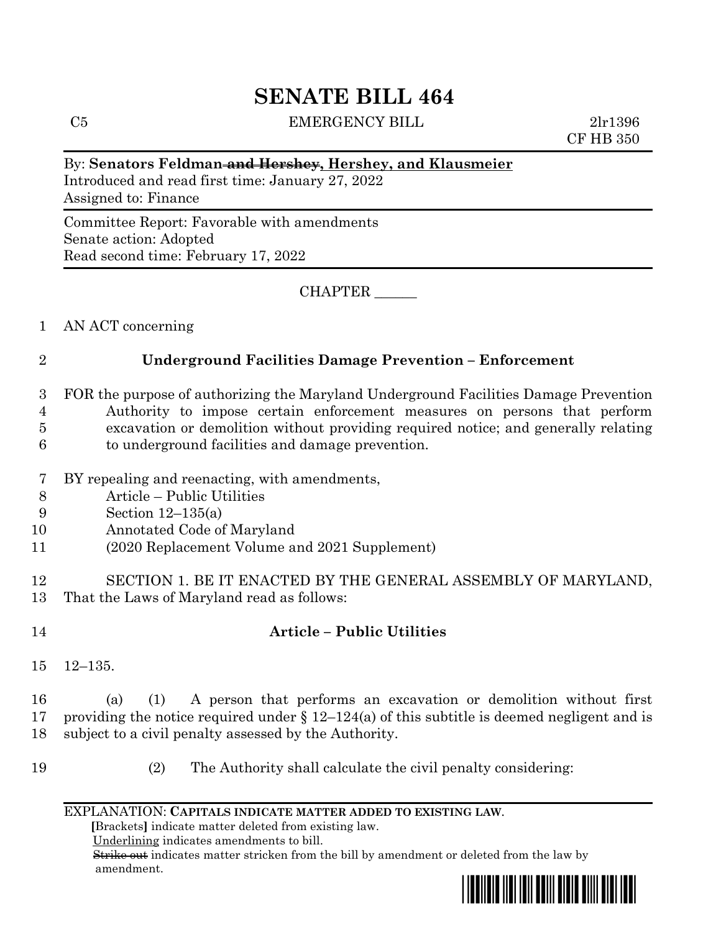# **SENATE BILL 464**

C5 EMERGENCY BILL 2lr1396

CF HB 350

#### By: **Senators Feldman and Hershey, Hershey, and Klausmeier**

Introduced and read first time: January 27, 2022 Assigned to: Finance

Committee Report: Favorable with amendments Senate action: Adopted Read second time: February 17, 2022

CHAPTER \_\_\_\_\_\_

1 AN ACT concerning

## 2 **Underground Facilities Damage Prevention – Enforcement**

 FOR the purpose of authorizing the Maryland Underground Facilities Damage Prevention Authority to impose certain enforcement measures on persons that perform excavation or demolition without providing required notice; and generally relating to underground facilities and damage prevention.

- 7 BY repealing and reenacting, with amendments,
- 8 Article Public Utilities
- 9 Section 12–135(a)
- 10 Annotated Code of Maryland
- 11 (2020 Replacement Volume and 2021 Supplement)

12 SECTION 1. BE IT ENACTED BY THE GENERAL ASSEMBLY OF MARYLAND, 13 That the Laws of Maryland read as follows:

## 14 **Article – Public Utilities**

15 12–135.

16 (a) (1) A person that performs an excavation or demolition without first 17 providing the notice required under  $\S 12-124(a)$  of this subtitle is deemed negligent and is 18 subject to a civil penalty assessed by the Authority.

19 (2) The Authority shall calculate the civil penalty considering:

#### EXPLANATION: **CAPITALS INDICATE MATTER ADDED TO EXISTING LAW**.

 **[**Brackets**]** indicate matter deleted from existing law.

Underlining indicates amendments to bill.

 Strike out indicates matter stricken from the bill by amendment or deleted from the law by amendment.

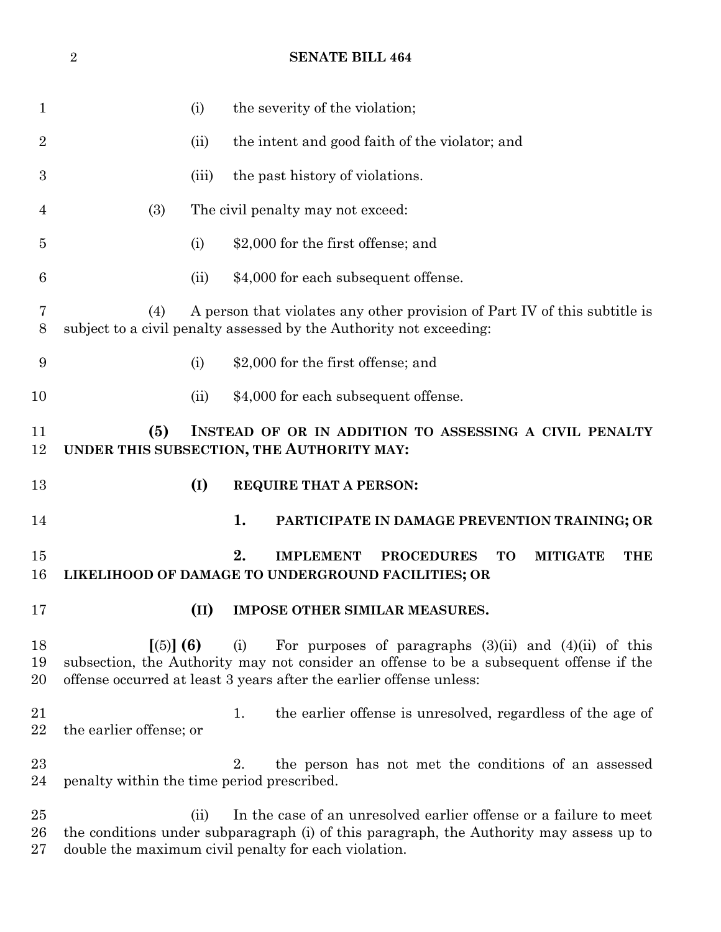|                  | $\overline{2}$                                                                                                                                                                                                               |      | <b>SENATE BILL 464</b>                                                                                                                                                                                                              |
|------------------|------------------------------------------------------------------------------------------------------------------------------------------------------------------------------------------------------------------------------|------|-------------------------------------------------------------------------------------------------------------------------------------------------------------------------------------------------------------------------------------|
| 1                | (i)                                                                                                                                                                                                                          |      | the severity of the violation;                                                                                                                                                                                                      |
| $\overline{2}$   | (ii)                                                                                                                                                                                                                         |      | the intent and good faith of the violator; and                                                                                                                                                                                      |
| 3                | (iii)                                                                                                                                                                                                                        |      | the past history of violations.                                                                                                                                                                                                     |
| 4                | (3)                                                                                                                                                                                                                          |      | The civil penalty may not exceed:                                                                                                                                                                                                   |
| 5                | (i)                                                                                                                                                                                                                          |      | \$2,000 for the first offense; and                                                                                                                                                                                                  |
| 6                | (ii)                                                                                                                                                                                                                         |      | \$4,000 for each subsequent offense.                                                                                                                                                                                                |
| 7<br>8           | A person that violates any other provision of Part IV of this subtitle is<br>(4)<br>subject to a civil penalty assessed by the Authority not exceeding:                                                                      |      |                                                                                                                                                                                                                                     |
| $\boldsymbol{9}$ | (i)                                                                                                                                                                                                                          |      | \$2,000 for the first offense; and                                                                                                                                                                                                  |
| 10               | (ii)                                                                                                                                                                                                                         |      | \$4,000 for each subsequent offense.                                                                                                                                                                                                |
| 11<br>12         | (5)<br>INSTEAD OF OR IN ADDITION TO ASSESSING A CIVIL PENALTY<br>UNDER THIS SUBSECTION, THE AUTHORITY MAY:                                                                                                                   |      |                                                                                                                                                                                                                                     |
| 13               | (I)                                                                                                                                                                                                                          |      | REQUIRE THAT A PERSON:                                                                                                                                                                                                              |
| 14               |                                                                                                                                                                                                                              |      | 1.<br>PARTICIPATE IN DAMAGE PREVENTION TRAINING; OR                                                                                                                                                                                 |
| 15<br>16         |                                                                                                                                                                                                                              |      | 2.<br><b>IMPLEMENT</b><br><b>PROCEDURES</b><br><b>TO</b><br><b>MITIGATE</b><br><b>THE</b><br>LIKELIHOOD OF DAMAGE TO UNDERGROUND FACILITIES; OR                                                                                     |
| 17               |                                                                                                                                                                                                                              | (II) | IMPOSE OTHER SIMILAR MEASURES.                                                                                                                                                                                                      |
| 18<br>19<br>20   | [(5)] (6)                                                                                                                                                                                                                    |      | For purposes of paragraphs $(3)(ii)$ and $(4)(ii)$ of this<br>(i)<br>subsection, the Authority may not consider an offense to be a subsequent offense if the<br>offense occurred at least 3 years after the earlier offense unless: |
| 21<br>22         | the earlier offense; or                                                                                                                                                                                                      |      | the earlier offense is unresolved, regardless of the age of<br>1.                                                                                                                                                                   |
| 23<br>24         | penalty within the time period prescribed.                                                                                                                                                                                   |      | the person has not met the conditions of an assessed<br>2.                                                                                                                                                                          |
| 25<br>26<br>27   | In the case of an unresolved earlier offense or a failure to meet<br>(ii)<br>the conditions under subparagraph (i) of this paragraph, the Authority may assess up to<br>double the maximum civil penalty for each violation. |      |                                                                                                                                                                                                                                     |